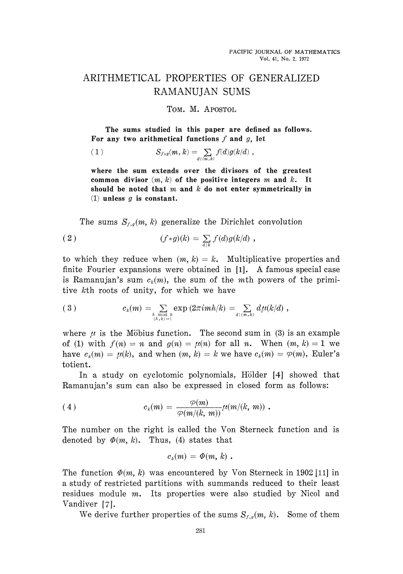## ARITHMETICAL PROPERTIES OF GENERALIZED RAMANUJAN SUMS

TOM. M. APOSTOL

The sums studied in this paper are defined as follows. For any two arithmetical functions / and *g,* let

(1) 
$$
S_{f,g}(m,k) = \sum_{d \, | \, (m,k)} f(d)g(k/d) ,
$$

where the sum extends over the divisors of the greatest common divisor (m, *k)* of the positive integers m and *k.* It should be noted that m and *k* do not enter symmetrically in (1) unless *g* is constant.

The sums  $S_{f,g}(m, k)$  generalize the Dirichlet convolution

(2) 
$$
(f * g)(k) = \sum_{d|k} f(d)g(k/d) ,
$$

to which they reduce when  $(m, k) = k$ . Multiplicative properties and finite Fourier expansions were obtained in [1]. A famous special case is Ramanujan's sum  $c_k(m)$ , the sum of the mth powers of the primi tive kth roots of unity, for which we have

$$
(3) \t\t ck(m) = \sum_{\substack{h \bmod k \\ (h,k)=1}} \exp(2\pi i m h/k) = \sum_{d|(m,k)} d\mu(k/d) ,
$$

where  $\mu$  is the Möbius function. The second sum in (3) is an example of (1) with  $f(n) = n$  and  $g(n) = \mu(n)$  for all *n*. When  $(m, k) = 1$  we have  $c_k(m) = \mu(k)$ , and when  $(m, k) = k$  we have  $c_k(m) = \varphi(m)$ , Euler's totient.

In a study on cyclotomic polynomials, Hölder [4] showed that Ramanujan's sum can also be expressed in closed form as follows:

(4) 
$$
c_k(m) = \frac{\varphi(m)}{\varphi(m/(k, m))} \mu(m/(k, m)) .
$$

The number on the right is called the Von Sterneck function and is denoted by  $\Phi(m, k)$ . Thus, (4) states that

$$
c_k(m) = \Phi(m, k) .
$$

The function  $\Phi(m, k)$  was encountered by Von Sterneck in 1902 [11] in a study of restricted partitions with summands reduced to their least residues module m. Its properties were also studied by Nicol and Vandiver [7].

We derive further properties of the sums  $S_{f,g}(m, k)$ . Some of them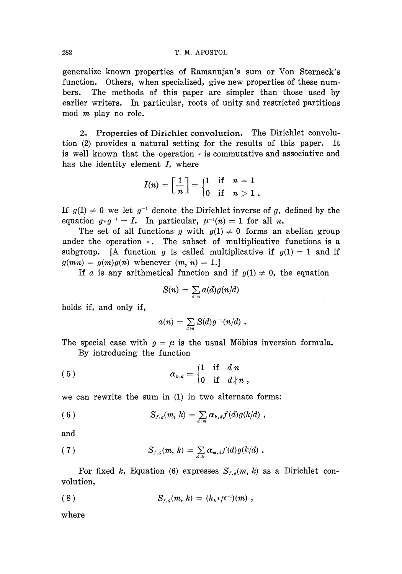generalize known properties of Ramanujan's sum or Von Sterneck's function. Others, when specialized, give new properties of these numbers. The methods of this paper are simpler than those used by earlier writers. In particular, roots of unity and restricted partitions mod *m* play no role.

2. Properties of Dirichlet convolution. The Dirichlet convolution (2) provides a natural setting for the results of this paper. It is well known that the operation \* is commutative and associative and has the identity element  $I$ , where

$$
I(n)=\left[\frac{1}{n}\right]=\begin{cases}1 & \text{if} \quad n=1\\ 0 & \text{if} \quad n>1\end{cases}.
$$

If  $g(1) \neq 0$  we let  $g^{-1}$  denote the Dirichlet inverse of g, defined by the equation  $g * g^{-1} = I$ . In particular,  $\mu^{-1}(n) = 1$  for all *n*.

The set of all functions g with  $g(1) \neq 0$  forms an abelian group under the operation \*. The subset of multiplicative functions is a subgroup. [A function *g* is called multiplicative if  $g(1) = 1$  and if  $g(mn) = g(m)g(n)$  whenever  $(m, n) = 1$ .

If *a* is any arithmetical function and if  $g(1) \neq 0$ , the equation

$$
S(n) = \sum_{d|n} a(d)g(n/d)
$$

holds if, and only if,

$$
a(n) = \sum_{d|n} S(d)g^{-1}(n/d) .
$$

The special case with  $g = \mu$  is the usual Möbius inversion formula.

By introducing the function

(5) 
$$
\alpha_{n,d} = \begin{cases} 1 & \text{if } d|n \\ 0 & \text{if } d \nmid n \end{cases}
$$

we can rewrite the sum in (1) in two alternate forms:

(6) 
$$
S_{f,g}(m, k) = \sum_{d|m} \alpha_{k,d} f(d) g(k/d),
$$

and

(7) 
$$
S_{f,g}(m, k) = \sum_{d|k} \alpha_{m,d} f(d) g(k/d) .
$$

For fixed k, Equation (6) expresses  $S_{f,g}(m, k)$  as a Dirichlet con volution,

(8) 
$$
S_{f,g}(m, k) = (h_{k} * \mu^{-1})(m) ,
$$

where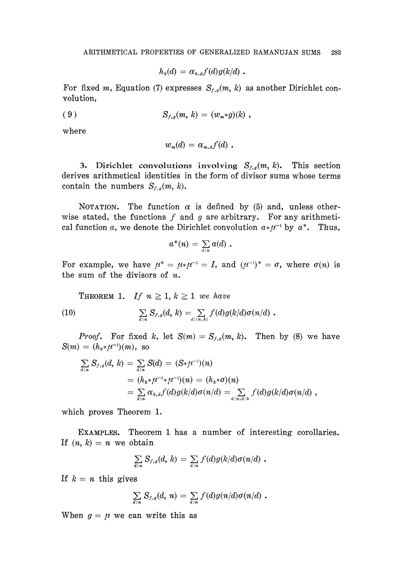$$
h_k(d) = \alpha_{k,d} f(d) g(k/d) \, .
$$

For fixed m, Equation (7) expresses  $S_{f,g}(m, k)$  as another Dirichlet con volution,

(9) 
$$
S_{f,g}(m, k) = (w_m * g)(k) ,
$$

where

$$
w_m(d) = \alpha_{m,d} f(d) \ .
$$

3. Dirichlet convolutions involving  $S_{f,g}(m, k)$ . This section derives arithmetical identities in the form of divisor sums whose terms contain the numbers  $S_{f,g}(m, k)$ .

NOTATION. The function  $\alpha$  is defined by (5) and, unless otherwise stated, the functions  $f$  and  $g$  are arbitrary. For any arithmetical function *a*, we denote the Dirichlet convolution  $a*\mu^{-1}$  by  $a^*$ . Thus,

$$
a^*(n) = \sum_{d|n} a(d) \; .
$$

For example, we have  $\mu^* = \mu_* \mu^{-1} = I$ , and  $(\mu^{-1})^* = \sigma$ , where  $\sigma(n)$  is the sum of the divisors of *n.*

**THEOREM 1.** If  $n \geq 1, k \geq 1$  we have

(10) 
$$
\sum_{d|n} S_{f,g}(d, k) = \sum_{d|(n,k)} f(d)g(k/d)\sigma(n/d).
$$

*Proof.* For fixed k, let  $S(m) = S_{f,g}(m, k)$ . Then by (8) we have  $S(m) = (h_k \ast \mu^{-1})(m)$ , so

$$
\sum_{d|n} S_{f,g}(d, k) = \sum_{d|n} S(d) = (S * \mu^{-1})(n)
$$
  
=  $(h_k * \mu^{-1} * \mu^{-1})(n) = (h_k * \sigma)(n)$   
=  $\sum_{d|n} \alpha_{k,d} f(d) g(k/d) \sigma(n/d) = \sum_{d|n,d|k} f(d) g(k/d) \sigma(n/d)$ ,

which proves Theorem 1.

EXAMPLES. Theorem 1 has a number of interesting corollaries. If  $(n, k) = n$  we obtain

$$
\sum_{d|n} S_{f,g}(d, k) = \sum_{d|n} f(d)g(k/d)\sigma(n/d) .
$$

If  $k = n$  this gives

$$
\sum_{d|n} S_{f,g}(d, n) = \sum_{d|n} f(d)g(n/d)\sigma(n/d).
$$

When  $g = \mu$  we can write this as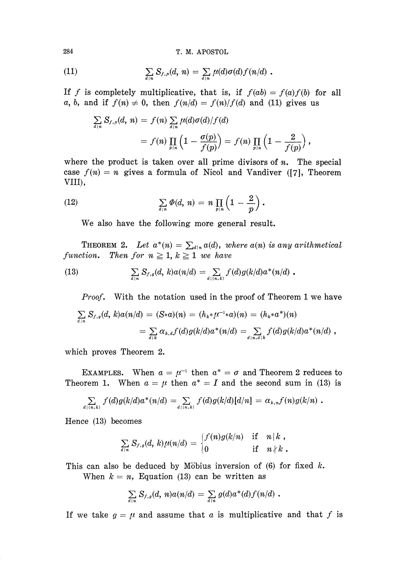(11) 
$$
\sum_{d|n} S_{f,\mu}(d, n) = \sum_{d|n} \mu(d) \sigma(d) f(n/d) .
$$

If f is completely multiplicative, that is, if  $f(ab) = f(a)f(b)$  for all a, b, and if  $f(n) \neq 0$ , then  $f(n/d) = f(n)/f(d)$  and (11) gives us

$$
\sum_{d|n} S_{f,\mu}(d, n) = f(n) \sum_{d|n} \mu(d) \sigma(d)/f(d)
$$
  
=  $f(n) \prod_{p|n} \left(1 - \frac{\sigma(p)}{f(p)}\right) = f(n) \prod_{p|n} \left(1 - \frac{2}{f(p)}\right),$ 

where the product is taken over all prime divisors of *n.* The special case  $f(n) = n$  gives a formula of Nicol and Vandiver ([7], Theorem VIII),

(12) 
$$
\sum_{d|n} \Phi(d, n) = n \prod_{p|n} \left(1 - \frac{2}{p}\right).
$$

We also have the following more general result.

THEOREM 2. Let  $a^*(n) = \sum_{d|n} a(d)$ , where  $a(n)$  is any arithmetical *function.* Then for  $n \geq 1, k \geq 1$  we have

(13) 
$$
\sum_{d|n} S_{f,g}(d, k) a(n/d) = \sum_{d|(n,k)} f(d) g(k/d) a^{*}(n/d).
$$

*Proof.* With the notation used in the proof of Theorem 1 we have

$$
\sum_{d|n} S_{f,g}(d, k)a(n/d) = (S*a)(n) = (h_**\mu^{-1}*a)(n) = (h_**a^*)(n)
$$
  
= 
$$
\sum_{d|k} \alpha_{k,d} f(d)g(k/d)a^*(n/d) = \sum_{d|n,d|k} f(d)g(k/d)a^*(n/d)
$$
,

which proves Theorem 2.

EXAMPLES. When  $a = \mu^{-1}$  then  $a^* = \sigma$  and Theorem 2 reduces to Theorem 1. When  $a = \mu$  then  $a^* = I$  and the second sum in (13) is

$$
\sum_{d|(n,k)} f(d)g(k/d)a^*(n/d) = \sum_{d|(n,k)} f(d)g(k/d)[d/n] = \alpha_{k,n}f(n)g(k/n).
$$

*d* Hence (13) becomes

$$
\textstyle \sum\limits_{d|n} S_{f,\,g}(d,\,k)\mu(n/d) = \begin{cases} f(n)g(k/n) & \text{if} \quad n\,|\,k \; , \\ 0 & \text{if} \quad n \not\mid k \; . \end{cases}
$$

This can also be deduced by Möbius inversion of (6) for fixed k. When  $k = n$ , Equation (13) can be written as

$$
\sum_{d|n} S_{f,g}(d, n) a(n/d) = \sum_{d|n} g(d) a^{*}(d) f(n/d).
$$

If we take  $g = \mu$  and assume that a is multiplicative and that f is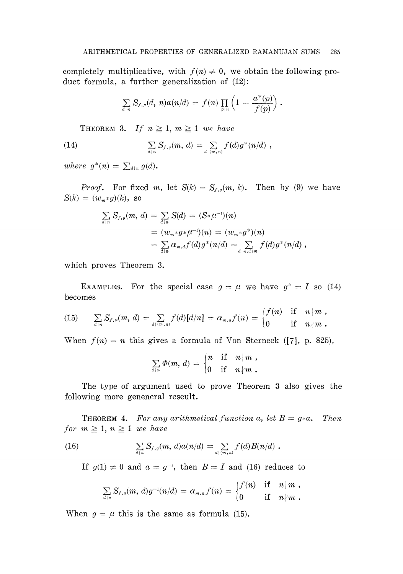completely multiplicative, with  $f(n) \neq 0$ , we obtain the following product formula, a further generalization of (12):

$$
\textstyle \sum\limits_{d \,|\, n} S_{f,\,\mu}(d,\,n) a(n/d) \,=\, f(n) \,\prod\limits_{p \,|\, n} \left(1 \,-\, \frac{a^*(p)}{f(p)}\right)\,.
$$

THEOREM 3. If  $n \geq 1$ ,  $m \geq 1$  we have

(14) 
$$
\sum_{d|n} S_{f,g}(m, d) = \sum_{d|(m,n)} f(d) g^{*}(n/d) ,
$$

*where*  $g^*(n) = \sum_{d|n} g(d)$ .

*Proof.* For fixed m, let  $S(k) = S_{f,g}(m, k)$ . Then by (9) we have  $S(k) = (w_m * g)(k)$ , so

$$
\sum_{d|n} S_{f,g}(m, d) = \sum_{d|n} S(d) = (S * \mu^{-1})(n)
$$
  
=  $(w_m * g * \mu^{-1})(n) = (w_m * g^*)(n)$   
=  $\sum_{d|n} \alpha_{m,d} f(d) g^*(n/d) = \sum_{d|n,d|m} f(d) g^*(n/d)$ ,

which proves Theorem 3.

EXAMPLES. For the special case  $g = \mu$  we have  $g^* = I$  so (14) becomes

(15) 
$$
\sum_{d|n} S_{f,\mu}(m, d) = \sum_{d|(m,n)} f(d)[d/n] = \alpha_{m,n} f(n) = \begin{cases} f(n) & \text{if } n|m, \\ 0 & \text{if } n \nmid m. \end{cases}
$$

When  $f(n) = n$  this gives a formula of Von Sterneck ([7], p. 825),

$$
\sum_{d|n} \varPhi(m, d) = \begin{cases} n & \text{if } n | m , \\ 0 & \text{if } n \nmid m . \end{cases}
$$

The type of argument used to prove Theorem 3 also gives the following more geneneral reseult.

**THEOREM 4.** For any arithmetical function a, let  $B = g * a$ . Then *for*  $m \geq 1, n \geq 1$  *we have* 

(16) 
$$
\sum_{d|n} S_{f,g}(m, d)a(n/d) = \sum_{d|(m,n)} f(d)B(n/d).
$$

If  $g(1) \neq 0$  and  $a = g^{-1}$ , then  $B = I$  and (16) reduces to

$$
\textstyle \sum\limits_{d|n} S_{f,\,g}(m,\,d) g^{-1}(n/d) \,=\, \alpha_{m,\,n} f(n) \,=\, \begin{cases} f(n) & {\text{if}} \quad n\,|\,m\;, \\ 0 & {\text{if}} \quad n\nmid m \;.\end{cases}
$$

When  $g = \mu$  this is the same as formula (15).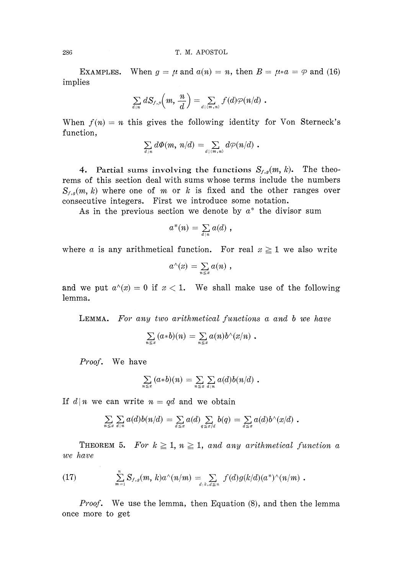EXAMPLES. When  $g = \mu$  and  $a(n) = n$ , then  $B = \mu * a = \varphi$  and (16) implies

$$
\sum_{d \, | \, n} dS_{f,\, \mu}\!\Big(m, \, \frac{n}{d}\Big) = \sum_{d \, | \, (m, \, n)} f(d) \varphi(n/d) \,\, .
$$

When  $f(n) = n$  this gives the following identity for Von Sterneck's function,

$$
\sum_{d|n} d\varPhi(m, n/d) = \sum_{d|(m,n)} d\varphi(n/d) .
$$

4. Partial sums involving the functions  $S_{f,g}(m, k)$ . The theo rems of this section deal with sums whose terms include the numbers  $S_{f,s}(m, k)$  where one of m or k is fixed and the other ranges over consecutive integers. First we introduce some notation.

As in the previous section we denote by  $a^*$  the divisor sum

$$
a^*(n) = \sum_{d|n} a(d) ,
$$

where *a* is any arithmetical function. For real  $x \ge 1$  we also write

$$
a^{\wedge}(x) = \sum_{n \leq x} a(n) ,
$$

and we put  $a^{\wedge}(x) = 0$  if  $x < 1$ . We shall make use of the following lemma.

LEMMA. *For any two arithmetical functions a and b we have*

$$
\sum_{n\leq x} (a * b)(n) = \sum_{n\leq x} a(n) b^{\wedge}(x/n).
$$

*Proof.* We have

$$
\sum_{n\leq x} (a*b)(n) = \sum_{n\leq x} \sum_{d\mid n} a(d)b(n/d) .
$$

If  $d|n$  we can write  $n = qd$  and we obtain

$$
\sum_{n\leq x}\sum_{d|n}a(d)b(n/d)=\sum_{d\leq x}a(d)\sum_{q\leq x/d}b(q)=\sum_{d\leq x}a(d)b^{\wedge}(x/d).
$$

THEOREM 5. For  $k \geq 1$ ,  $n \geq 1$ , and any arithmetical function a *we have*

(17) 
$$
\sum_{m=1}^{n} S_{f,g}(m, k) a^{\wedge}(n/m) = \sum_{d \mid k, d \leq n} f(d) g(k/d) (a^*)^{\wedge}(n/m).
$$

*Proof.* We use the lemma, then Equation (8), and then the lemma once more to get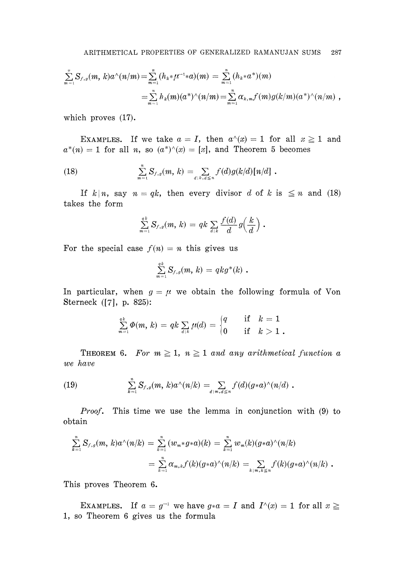$$
\sum_{m=1}^n S_{f,g}(m, k) a^\wedge(n/m) = \sum_{m=1}^n (h_k * \mu^{-1} * a)(m) = \sum_{m=1}^n (h_k * a^*)(m) \\ = \sum_{m=1}^n h_k(m) (a^*)^\wedge(n/m) = \sum_{m=1}^n \alpha_{k,m} f(m) g(k/m) (a^*)^\wedge(n/m) ,
$$

which proves (17).

EXAMPLES. If we take  $a = I$ , then  $a^{\wedge}(x) = 1$  for all  $x \ge 1$  and  $a^*(n) = 1$  for all *n*, so  $(a^*)^{\wedge}(x) = [x]$ , and Theorem 5 becomes

(18) 
$$
\sum_{m=1}^n S_{f,g}(m, k) = \sum_{d|k, d \leq n} f(d)g(k/d)[n/d].
$$

If  $k|n$ , say  $n = qk$ , then every divisor *d* of *k* is  $\leq n$  and (18) takes the form

$$
\sum_{m=1}^{q k} S_{f, g}(m, k) = q k \sum_{d|k} \frac{f(d)}{d} g(\frac{k}{d}) .
$$

For the special case  $f(n) = n$  this gives us

$$
\sum_{m=1}^{qk} S_{f,g}(m, k) = qkg^*(k) .
$$

In particular, when  $g = \mu$  we obtain the following formula of Von Sterneck ([7], p. 825):

$$
\textstyle\sum\limits_{m=1}^{q\,k}\varPhi(m,\,k)\,=\,qk\sum\limits_{d\mid k}\mu(d)\,=\,\begin{cases}q\quad&\text{if}\quad k\,=\,1\\0\quad&\text{if}\quad k\,>\,1\,\text{.}\end{cases}
$$

THEOREM 6. For  $m \geq 1$ ,  $n \geq 1$  and any arithmetical function a *we have*

(19) 
$$
\sum_{k=1}^n S_{f,g}(m, k) a^\wedge(n/k) = \sum_{d \mid m, d \leq n} f(d) (g * a)^\wedge(n/d).
$$

*Proof.* This time we use the lemma in conjunction with (9) to obtain

$$
\sum_{k=1}^{n} S_{f,g}(m, k) a^{\wedge}(n/k) = \sum_{k=1}^{n} (w_m * g * a)(k) = \sum_{k=1}^{n} w_m(k) (g * a)^{\wedge}(n/k) \n= \sum_{k=1}^{n} \alpha_{m,k} f(k) (g * a)^{\wedge}(n/k) = \sum_{k \mid m,k \leq n} f(k) (g * a)^{\wedge}(n/k) .
$$

This proves Theorem 6.

EXAMPLES. If  $a = g^{-1}$  we have  $g * a = I$  and  $I^{\wedge}(x) = 1$  for all  $x \geq$ 1, so Theorem 6 gives us the formula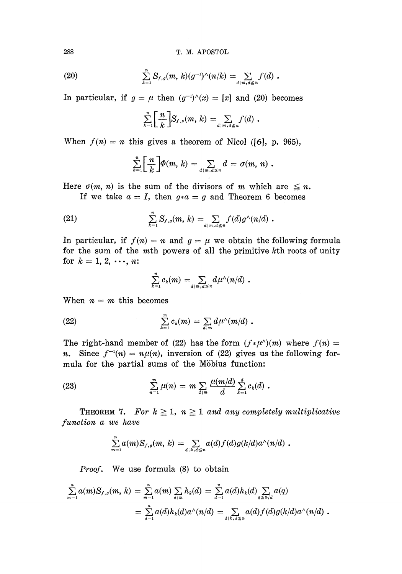(20) 
$$
\sum_{k=1}^n S_{f,g}(m, k)(g^{-1})^{\wedge}(n/k) = \sum_{d \mid m, d \leq n} f(d) .
$$

In particular, if  $g = \mu$  then  $(g^{-1})^{\wedge}(x) = [x]$  and (20) becomes

$$
\sum_{k=1}^n\bigg[\frac{n}{k}\bigg]S_{f,\,\mu}(m,\,k)=\sum_{d\,|\,m,\,d\leq n}f(d)\,.
$$

When  $f(n) = n$  this gives a theorem of Nicol ([6], p. 965),

$$
\sum_{k=1}^n \left[ \frac{n}{k} \right] \varphi(m, k) = \sum_{d \mid m, d \leq n} d = \sigma(m, n) .
$$

Here  $\sigma(m, n)$  is the sum of the divisors of m which are  $\leq n$ .

If we take  $a = I$ , then  $g * a = g$  and Theorem 6 becomes

(21) 
$$
\sum_{k=1}^n S_{f,g}(m, k) = \sum_{d \mid m, d \leq n} f(d) g^{\wedge}(n/d) .
$$

In particular, if  $f(n) = n$  and  $g = \mu$  we obtain the following formula for the sum of the  $m$ th powers of all the primitive  $k$ th roots of unity for  $k = 1, 2, \dots, n$ :

$$
\sum_{k=1}^n c_k(m) = \sum_{d \mid m, d \leq n} d\mu^{\wedge}(n/d) .
$$

When  $n = m$  this becomes

(22) 
$$
\sum_{k=1}^m c_k(m) = \sum_{d|m} d\mu^{\wedge}(m/d) .
$$

The right-hand member of (22) has the form  $(f * \mu^A)(m)$  where  $f(n) =$ *n.* Since  $f^{-1}(n) = n\mu(n)$ , inversion of (22) gives us the following formula for the partial sums of the Möbius function:

(23) 
$$
\sum_{n=1}^{m} \mu(n) = m \sum_{d|m} \frac{\mu(m/d)}{d} \sum_{k=1}^{d} c_k(d) .
$$

**THEOREM 7.** For  $k \geq 1$ ,  $n \geq 1$  and any completely multiplicative *function a we have*

$$
\sum_{m=1}^n a(m)S_{f,g}(m, k) = \sum_{d|k, d \leq n} a(d)f(d)g(k/d)a \wedge (n/d).
$$

*Proof.* We use formula (8) to obtain

$$
\sum_{m=1}^{n} a(m) S_{f,g}(m, k) = \sum_{m=1}^{n} a(m) \sum_{d \mid m} h_k(d) = \sum_{d=1}^{n} a(d) h_k(d) \sum_{q \leq n/d} a(q)
$$
  
= 
$$
\sum_{d=1}^{n} a(d) h_k(d) a^{\wedge}(n/d) = \sum_{d \mid k, d \leq n} a(d) f(d) g(k/d) a^{\wedge}(n/d) .
$$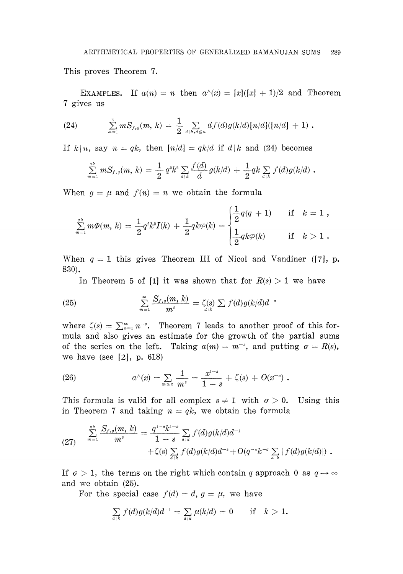This proves Theorem 7.

EXAMPLES. If  $a(n) = n$  then  $a^{\wedge}(x) = [x]([x] + 1)/2$  and Theorem 7 gives us

(24) 
$$
\sum_{m=1}^n m S_{f,g}(m, k) = \frac{1}{2} \sum_{d \mid k, d \leq n} df(d)g(k/d)[n/d][(n/d]+1).
$$

If  $k | n$ , say  $n = qk$ , then  $\lfloor n/d \rfloor = qk/d$  if  $d | k$  and (24) becomes

$$
\sum_{m=1}^{ak} m S_{f,g}(m, k) = \frac{1}{2} q^2 k^2 \sum_{a|k} \frac{f(d)}{d} g(k/d) + \frac{1}{2} q k \sum_{a|k} f(d) g(k/d) .
$$

When  $g = \mu$  and  $f(n) = n$  we obtain the formula

$$
\sum_{m=1}^{q\,k} m \varPhi(m,\,k) = \frac{1}{2} q^2 k^2 I(k) \,+\, \frac{1}{2} q k \varphi(k) = \begin{cases} \frac{1}{2} q(q\,+\,1) \quad &\text{if}\quad k=1 \; , \\ \\ \frac{1}{2} q k \varphi(k) \quad &\text{if}\quad k>1 \; . \end{cases}
$$

When  $q = 1$  this gives Theorem III of Nicol and Vandiner ([7], p. 830).

In Theorem 5 of [1] it was shown that for  $R(s) > 1$  we have

(25) 
$$
\sum_{m=1}^{\infty} \frac{S_{f,g}(m, k)}{m^s} = \zeta(s) \sum f(d)g(k/d)d^{-s}
$$

where  $\zeta(s) = \sum_{n=1}^{\infty} n^{-s}$ . Theorem 7 leads to another proof of this for mula and also gives an estimate for the growth of the partial sums of the series on the left. Taking  $a(m) = m^{-s}$ , and putting  $\sigma = R(s)$ , we have (see [2], p. 618)

(26) 
$$
a^{\wedge}(x) = \sum_{m \leq x} \frac{1}{m^s} = \frac{x^{1-s}}{1-s} + \zeta(s) + O(x^{-\sigma}).
$$

This formula is valid for all complex  $s \neq 1$  with  $\sigma > 0$ . Using this in Theorem 7 and taking  $n = qk$ , we obtain the formula

(27) 
$$
\sum_{m=1}^{ak} \frac{S_{f,g}(m, k)}{m^s} = \frac{q^{1-s}k^{1-s}}{1-s} \sum_{d|k} f(d)g(k/d)d^{-1} + \zeta(s) \sum_{d|k} f(d)g(k/d)d^{-s} + O(q^{-\sigma}k^{-\sigma} \sum_{d|k} |f(d)g(k/d)|) .
$$

If  $\sigma > 1$ , the terms on the right which contain q approach 0 as  $q \rightarrow \infty$ and we obtain (25).

For the special case  $f(d) = d$ ,  $g = \mu$ , we have

$$
\sum_{a \, | \, k} f(d) g(k/d) d^{-1} = \sum_{a \, | \, k} \mu(k/d) = 0 \quad \text{if} \quad k > 1.
$$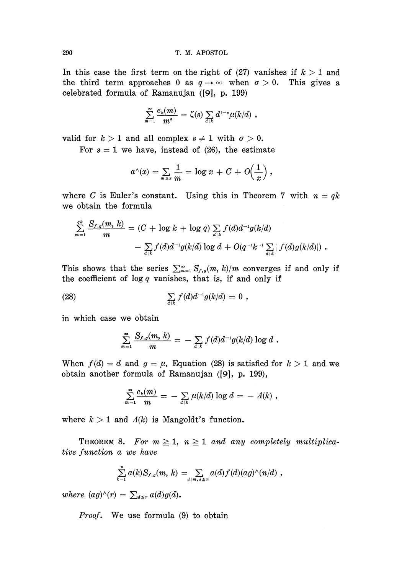In this case the first term on the right of  $(27)$  vanishes if  $k > 1$  and the third term approaches 0 as  $q \rightarrow \infty$  when  $\sigma > 0$ . This gives a celebrated formula of Ramanujan ([9], p. 199)

$$
\sum_{m=1}^{\infty} \frac{c_k(m)}{m^s} = \zeta(s) \sum_{d|k} d^{1-s} \mu(k/d) ,
$$

valid for  $k > 1$  and all complex  $s \neq 1$  with  $\sigma > 0$ .

For  $s = 1$  we have, instead of (26), the estimate

$$
a^{\wedge}(x)=\sum_{m\leq x}\frac{1}{m}=\log x+C+O\Big(\frac{1}{x}\Big),
$$

where *C* is Euler's constant. Using this in Theorem 7 with  $n = qk$ we obtain the formula

$$
\sum_{m=1}^{q^k} \frac{S_{f,g}(m, k)}{m} = (C + \log k + \log q) \sum_{d|k} f(d) d^{-1} g(k/d)
$$

$$
- \sum_{d|k} f(d) d^{-1} g(k/d) \log d + O(q^{-1} k^{-1} \sum_{d|k} |f(d) g(k/d)|) .
$$

This shows that the series  $\sum_{m=1}^{\infty} S_{f,g}(m, k)/m$  converges if and only if the coefficient of  $log q$  vanishes, that is, if and only if

(28) 
$$
\sum_{d|k} f(d)d^{-1}g(k/d) = 0,
$$

in which case we obtain

$$
\sum_{m=1}^{\infty} \frac{S_{f,g}(m,\,k)}{m} = \, - \, \sum_{d \, | \, k} f(d) d^{-1} g(k/d) \, \log \, d \,\, .
$$

When  $f(d) = d$  and  $g = \mu$ , Equation (28) is satisfied for  $k > 1$  and we obtain another formula of Ramanujan ([9], p. 199),

$$
\sum_{m=1}^{\infty} \frac{c_k(m)}{m} = - \sum_{d|k} \mu(k/d) \log d = - \Lambda(k) ,
$$

where  $k > 1$  and  $\Lambda(k)$  is Mangoldt's function.

THEOREM 8. For  $m \geq 1$ ,  $n \geq 1$  and any completely multiplica*tive function a we have*

$$
\sum_{k=1}^n a(k)S_{f,g}(m, k) = \sum_{d \mid m, d \leq n} a(d)f(d)(ag)^{\wedge}(n/d),
$$

*where*  $(ag)^{\wedge}(r) = \sum_{d \leq r} a(d)g(d)$ .

*Proof.* We use formula (9) to obtain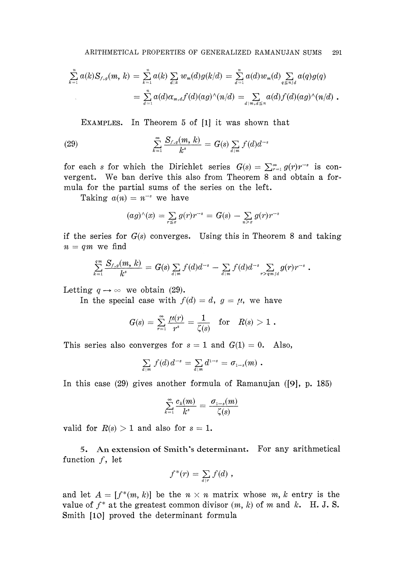$$
\sum_{k=1}^{n} a(k) S_{f,g}(m, k) = \sum_{k=1}^{n} a(k) \sum_{d|k} w_m(d) g(k/d) = \sum_{d=1}^{n} a(d) w_m(d) \sum_{q \leq m/d} a(q) g(q)
$$
  
= 
$$
\sum_{d=1}^{n} a(d) \alpha_{m,d} f(d) (ag)^{\wedge} (n/d) = \sum_{d|m,d \leq n} a(d) f(d) (ag)^{\wedge} (n/d) .
$$

EXAMPLES. In Theorem 5 of [1] it was shown that

(29) 
$$
\sum_{k=1}^{\infty} \frac{S_{f,g}(m, k)}{k^s} = G(s) \sum_{d \mid m} f(d) d^{-s}
$$

for each *s* for which the Dirichlet series  $G(s) = \sum_{r=1}^{\infty} g(r)r^{-s}$  is con vergent. We ban derive this also from Theorem 8 and obtain a for mula for the partial sums of the series on the left.

Taking  $a(n) = n^{-s}$  we have

$$
(ag)^{\wedge}(x) = \sum_{r \leq x} g(r)r^{-s} = G(s) - \sum_{n>x} g(r)r^{-s}
$$

if the series for *G(s)* converges. Using this in Theorem 8 and taking  $n = qm$  we find

$$
\sum_{k=1}^{q^m} \frac{S_{f,g}(m,\,k)}{k^s} \,=\, G(s) \sum_{d \,|\, m} f(d) d^{-s} \,-\, \sum_{d \,|\, m} f(d) d^{-s} \sum_{r > q^m/d} g(r) r^{-s} \,\,.
$$

Letting  $q \rightarrow \infty$  we obtain (29).

In the special case with  $f(d) = d$ ,  $g = \mu$ , we have

$$
G(s) \, = \, \sum_{r=1}^\infty \frac{\mu(r)}{r^s} \, = \frac{1}{\zeta(s)} \quad {\rm for} \quad R(s) > 1 \,\, .
$$

This series also converges for  $s = 1$  and  $G(1) = 0$ . Also,

$$
\sum_{d|m} f(d) d^{-s} = \sum_{d|m} d^{1-s} = \sigma_{1-s}(m) .
$$

In this case (29) gives another formula of Ramanujan ([9], p. 185)

$$
\sum_{k=1}^{\infty} \frac{c_k(m)}{k^s} = \frac{\sigma_{1-s}(m)}{\zeta(s)}
$$

valid for  $R(s) > 1$  and also for  $s = 1$ .

5. An extension of Smith's determinant. For any arithmetical function  $f$ , let

$$
f^*(r) = \sum_{d|r} f(d) ,
$$

and let  $A = [f^*(m, k)]$  be the  $n \times n$  matrix whose m, k entry is the value of  $f^*$  at the greatest common divisor  $(m, k)$  of m and k. H. J. S. Smith [10] proved the determinant formula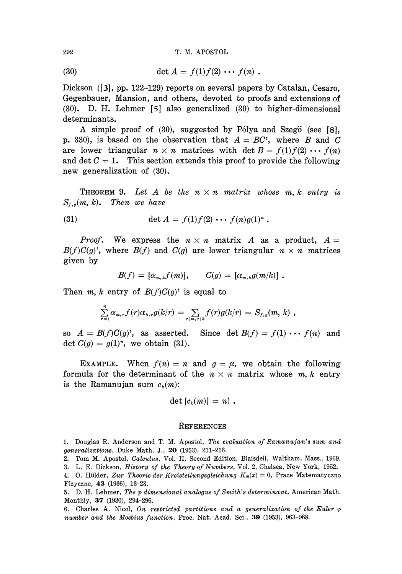(30) 
$$
\det A = f(1) f(2) \cdots f(n) .
$$

Dickson ([3], pp. 122-129) reports on several papers by Catalan, Cesaro, Gegenbauer, Mansion, and others, devoted to proofs and extensions of (30). D. H. Lehmer [5] also generalized (30) to higher-dimensional determinants.

A simple proof of (30), suggested by Pólya and Szegö (see [8], p. 330), is based on the observation that  $A = BC^t$ , where *B* and *C* are lower triangular  $n \times n$  matrices with det  $B = f(1) f(2) \cdots f(n)$ and det  $C = 1$ . This section extends this proof to provide the following new generalization of (30).

**THEOREM 9.** Let A be the  $n \times n$  matrix whose m, k entry is  $S_{f,g}(m,$ *Then we have* 

(31) 
$$
\det A = f(1)f(2) \cdots f(n)g(1)^{n}.
$$

*Proof.* We express the  $n \times n$  matrix A as a product,  $A =$  $B(f)C(g)^t$ , where  $B(f)$  and  $C(g)$  are lower triangular  $n \times n$  matrices given by

$$
B(f) = [\alpha_{m,k}f(m)], \qquad C(g) = [\alpha_{m,k}g(m/k)].
$$

Then  $m, k$  entry of  $B(f)C(g)^t$  is equal to

$$
\sum_{r=1}^n \alpha_{m,r} f(r) \alpha_{k,r} g(k/r) = \sum_{r \mid m,r \mid k} f(r) g(k/r) = S_{f,g}(m, k) ,
$$

so  $A = B(f)C(g)^t$ , as asserted. Since det  $B(f) = f(1) \cdots f(n)$  and det  $C(g) = g(1)^n$ , we obtain (31).

EXAMPLE. When  $f(n) = n$  and  $g = \mu$ , we obtain the following formula for the determinant of the  $n \times n$  matrix whose  $m, k$  entry is the Ramanujan sum  $c_k(m)$ :

$$
\det [c_k(m)] = n! .
$$

## **REFERENCES**

1. Douglas R. Anderson and T. M. Apostol, *The evaluation of Ramanujan's sum and generalizations,* Duke Math. J., 20 (1953), 211-216.

3. L. E. Dickson, *History of the Theory of Numbers,* Vol. 2, Chelsea, New York, 1952.

5. D. H. Lehmer, *The p dimensional analogue of Smith's determinant,* American Math. Monthly, 37 (1930), 294-296.

6. Charles A. Nicol, *On restricted partitions and a generalization of the Euler φ number and the Moebius function,* Proc. Nat. Acad. Sci., 39 (1953), 963-968.

<sup>2.</sup> Tom M. Apostol, *Calculus,* Vol. II, Second Edition, Blaisdell, Waltham, Mass., 1969.

<sup>4. 0.</sup> Holder, *Zur Theorie der Kreisteilungsgleichung Km(x) =* 0, Prace Matematyczno Fizyczne, 43 (1936), 13-23.